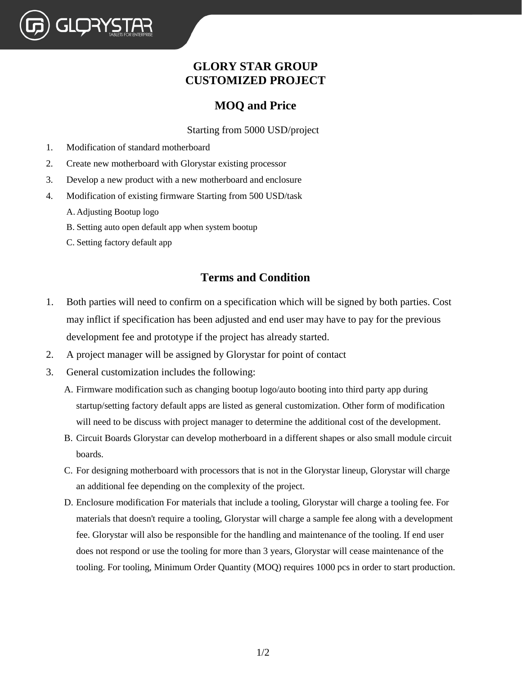## **GLORY STAR GROUP CUSTOMIZED PROJECT**

## **MOQ and Price**

Starting from 5000 USD/project

- 1. Modification of standard motherboard
- 2. Create new motherboard with Glorystar existing processor
- 3. Develop a new product with a new motherboard and enclosure
- 4. Modification of existing firmware Starting from 500 USD/task
	- A. Adjusting Bootup logo

GLORYS<sup>:</sup>

- B. Setting auto open default app when system bootup
- C. Setting factory default app

## **Terms and Condition**

- 1. Both parties will need to confirm on a specification which will be signed by both parties. Cost may inflict if specification has been adjusted and end user may have to pay for the previous development fee and prototype if the project has already started.
- 2. A project manager will be assigned by Glorystar for point of contact
- 3. General customization includes the following:
	- A. Firmware modification such as changing bootup logo/auto booting into third party app during startup/setting factory default apps are listed as general customization. Other form of modification will need to be discuss with project manager to determine the additional cost of the development.
	- B. Circuit Boards Glorystar can develop motherboard in a different shapes or also small module circuit boards.
	- C. For designing motherboard with processors that is not in the Glorystar lineup, Glorystar will charge an additional fee depending on the complexity of the project.
	- D. Enclosure modification For materials that include a tooling, Glorystar will charge a tooling fee. For materials that doesn't require a tooling, Glorystar will charge a sample fee along with a development fee. Glorystar will also be responsible for the handling and maintenance of the tooling. If end user does not respond or use the tooling for more than 3 years, Glorystar will cease maintenance of the tooling. For tooling, Minimum Order Quantity (MOQ) requires 1000 pcs in order to start production.